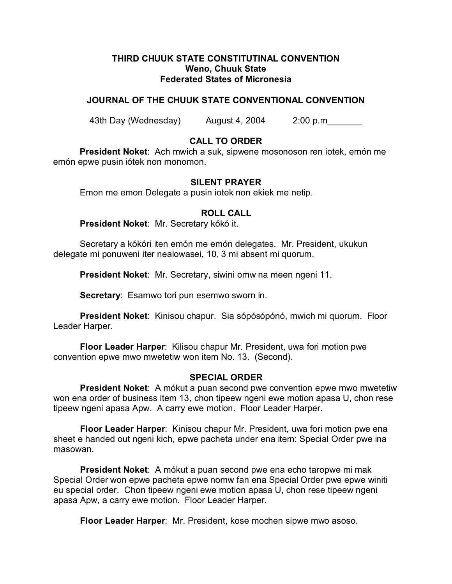### **THIRD CHUUK STATE CONSTITUTINAL CONVENTION Weno, Chuuk State Federated States of Micronesia**

## **JOURNAL OF THE CHUUK STATE CONVENTIONAL CONVENTION**

43th Day (Wednesday) August 4, 2004 2:00 p.m

# **CALL TO ORDER**

**President Noket**: Ach mwich a suk, sipwene mosonoson ren iotek, emón me emón epwe pusin iótek non monomon.

### **SILENT PRAYER**

Emon me emon Delegate a pusin iotek non ekiek me netip.

### **ROLL CALL**

**President Noket**: Mr. Secretary kókó it.

Secretary a kókóri iten emón me emón delegates. Mr. President, ukukun delegate mi ponuweni iter nealowasei, 10, 3 mi absent mi quorum.

**President Noket**: Mr. Secretary, siwini omw na meen ngeni 11.

**Secretary**: Esamwo tori pun esemwo sworn in.

**President Noket**: Kinisou chapur. Sia sópósópónó, mwich mi quorum. Floor Leader Harper.

**Floor Leader Harper**: Kilisou chapur Mr. President, uwa fori motion pwe convention epwe mwo mwetetiw won item No. 13. (Second).

## **SPECIAL ORDER**

**President Noket**: A mókut a puan second pwe convention epwe mwo mwetetiw won ena order of business item 13, chon tipeew ngeni ewe motion apasa U, chon rese tipeew ngeni apasa Apw. A carry ewe motion. Floor Leader Harper.

**Floor Leader Harper**: Kinisou chapur Mr. President, uwa fori motion pwe ena sheet e handed out ngeni kich, epwe pacheta under ena item: Special Order pwe ina masowan.

**President Noket**: A mókut a puan second pwe ena echo taropwe mi mak Special Order won epwe pacheta epwe nomw fan ena Special Order pwe epwe winiti eu special order. Chon tipeew ngeni ewe motion apasa U, chon rese tipeew ngeni apasa Apw, a carry ewe motion. Floor Leader Harper.

**Floor Leader Harper**: Mr. President, kose mochen sipwe mwo asoso.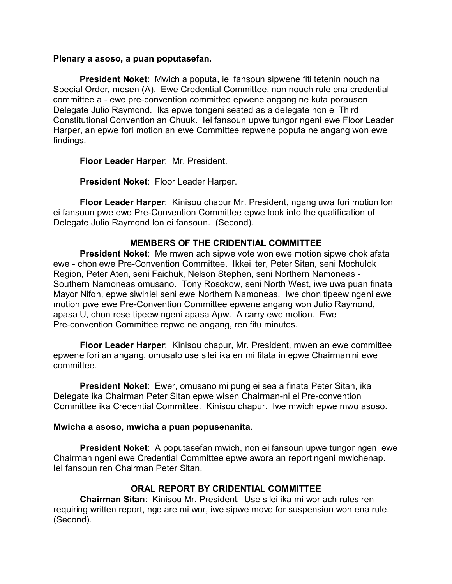#### **Plenary a asoso, a puan poputasefan.**

**President Noket**: Mwich a poputa, iei fansoun sipwene fiti tetenin nouch na Special Order, mesen (A). Ewe Credential Committee, non nouch rule ena credential committee a - ewe pre-convention committee epwene angang ne kuta porausen Delegate Julio Raymond. Ika epwe tongeni seated as a delegate non ei Third Constitutional Convention an Chuuk. Iei fansoun upwe tungor ngeni ewe Floor Leader Harper, an epwe fori motion an ewe Committee repwene poputa ne angang won ewe findings.

**Floor Leader Harper**: Mr. President.

**President Noket**: Floor Leader Harper.

**Floor Leader Harper**: Kinisou chapur Mr. President, ngang uwa fori motion lon ei fansoun pwe ewe Pre-Convention Committee epwe look into the qualification of Delegate Julio Raymond lon ei fansoun. (Second).

### **MEMBERS OF THE CRIDENTIAL COMMITTEE**

**President Noket**: Me mwen ach sipwe vote won ewe motion sipwe chok afata ewe - chon ewe Pre-Convention Committee. Ikkei iter, Peter Sitan, seni Mochulok Region, Peter Aten, seni Faichuk, Nelson Stephen, seni Northern Namoneas - Southern Namoneas omusano. Tony Rosokow, seni North West, iwe uwa puan finata Mayor Nifon, epwe siwiniei seni ewe Northern Namoneas. Iwe chon tipeew ngeni ewe motion pwe ewe Pre-Convention Committee epwene angang won Julio Raymond, apasa U, chon rese tipeew ngeni apasa Apw. A carry ewe motion. Ewe Pre-convention Committee repwe ne angang, ren fitu minutes.

**Floor Leader Harper**: Kinisou chapur, Mr. President, mwen an ewe committee epwene fori an angang, omusalo use silei ika en mi filata in epwe Chairmanini ewe committee.

**President Noket**: Ewer, omusano mi pung ei sea a finata Peter Sitan, ika Delegate ika Chairman Peter Sitan epwe wisen Chairman-ni ei Pre-convention Committee ika Credential Committee. Kinisou chapur. Iwe mwich epwe mwo asoso.

#### **Mwicha a asoso, mwicha a puan popusenanita.**

**President Noket**: A poputasefan mwich, non ei fansoun upwe tungor ngeni ewe Chairman ngeni ewe Credential Committee epwe awora an report ngeni mwichenap. Iei fansoun ren Chairman Peter Sitan.

## **ORAL REPORT BY CRIDENTIAL COMMITTEE**

**Chairman Sitan**: Kinisou Mr. President. Use silei ika mi wor ach rules ren requiring written report, nge are mi wor, iwe sipwe move for suspension won ena rule. (Second).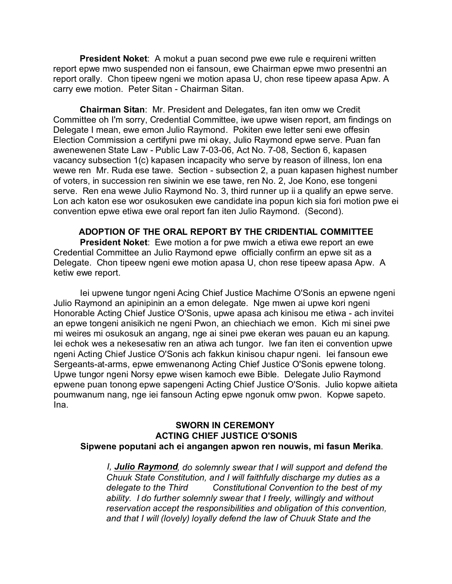**President Noket**: A mokut a puan second pwe ewe rule e requireni written report epwe mwo suspended non ei fansoun, ewe Chairman epwe mwo presentni an report orally. Chon tipeew ngeni we motion apasa U, chon rese tipeew apasa Apw. A carry ewe motion. Peter Sitan - Chairman Sitan.

**Chairman Sitan**: Mr. President and Delegates, fan iten omw we Credit Committee oh I'm sorry, Credential Committee, iwe upwe wisen report, am findings on Delegate I mean, ewe emon Julio Raymond. Pokiten ewe letter seni ewe offesin Election Commission a certifyni pwe mi okay, Julio Raymond epwe serve. Puan fan awenewenen State Law - Public Law 7-03-06, Act No. 7-08, Section 6, kapasen vacancy subsection 1(c) kapasen incapacity who serve by reason of illness, lon ena wewe ren Mr. Ruda ese tawe. Section - subsection 2, a puan kapasen highest number of voters, in succession ren siwinin we ese tawe, ren No. 2, Joe Kono, ese tongeni serve. Ren ena wewe Julio Raymond No. 3, third runner up ii a qualify an epwe serve. Lon ach katon ese wor osukosuken ewe candidate ina popun kich sia fori motion pwe ei convention epwe etiwa ewe oral report fan iten Julio Raymond. (Second).

**ADOPTION OF THE ORAL REPORT BY THE CRIDENTIAL COMMITTEE President Noket**: Ewe motion a for pwe mwich a etiwa ewe report an ewe Credential Committee an Julio Raymond epwe officially confirm an epwe sit as a Delegate. Chon tipeew ngeni ewe motion apasa U, chon rese tipeew apasa Apw. A ketiw ewe report.

Iei upwene tungor ngeni Acing Chief Justice Machime O'Sonis an epwene ngeni Julio Raymond an apinipinin an a emon delegate. Nge mwen ai upwe kori ngeni Honorable Acting Chief Justice O'Sonis, upwe apasa ach kinisou me etiwa - ach invitei an epwe tongeni anisikich ne ngeni Pwon, an chiechiach we emon. Kich mi sinei pwe mi weires mi osukosuk an angang, nge ai sinei pwe ekeran wes pauan eu an kapung. Iei echok wes a nekesesatiw ren an atiwa ach tungor. Iwe fan iten ei convention upwe ngeni Acting Chief Justice O'Sonis ach fakkun kinisou chapur ngeni. Iei fansoun ewe Sergeants-at-arms, epwe emwenanong Acting Chief Justice O'Sonis epwene tolong. Upwe tungor ngeni Norsy epwe wisen kamoch ewe Bible. Delegate Julio Raymond epwene puan tonong epwe sapengeni Acting Chief Justice O'Sonis. Julio kopwe aitieta poumwanum nang, nge iei fansoun Acting epwe ngonuk omw pwon. Kopwe sapeto. Ina.

### **SWORN IN CEREMONY ACTING CHIEF JUSTICE O'SONIS Sipwene poputani ach ei angangen apwon ren nouwis, mi fasun Merika**.

*I, Julio Raymond, do solemnly swear that I will support and defend the Chuuk State Constitution, and I will faithfully discharge my duties as a delegate to the Third Constitutional Convention to the best of my ability. I do further solemnly swear that I freely, willingly and without reservation accept the responsibilities and obligation of this convention, and that I will (lovely) loyally defend the law of Chuuk State and the*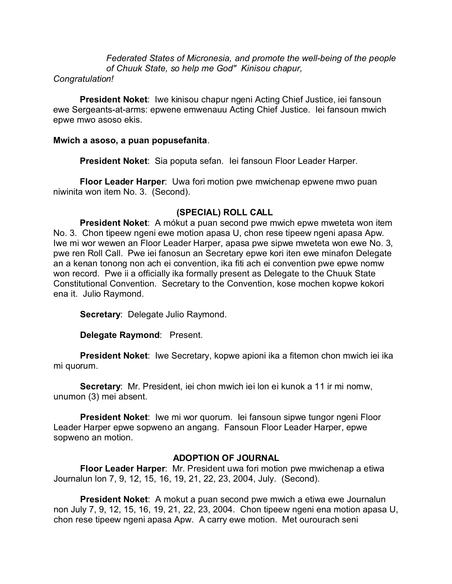*Federated States of Micronesia, and promote the well-being of the people of Chuuk State, so help me God" Kinisou chapur,* 

### *Congratulation!*

**President Noket**: Iwe kinisou chapur ngeni Acting Chief Justice, iei fansoun ewe Sergeants-at-arms: epwene emwenauu Acting Chief Justice. Iei fansoun mwich epwe mwo asoso ekis.

#### **Mwich a asoso, a puan popusefanita**.

**President Noket**: Sia poputa sefan. Iei fansoun Floor Leader Harper.

**Floor Leader Harper**: Uwa fori motion pwe mwichenap epwene mwo puan niwinita won item No. 3. (Second).

## **(SPECIAL) ROLL CALL**

**President Noket**: A mókut a puan second pwe mwich epwe mweteta won item No. 3. Chon tipeew ngeni ewe motion apasa U, chon rese tipeew ngeni apasa Apw. Iwe mi wor wewen an Floor Leader Harper, apasa pwe sipwe mweteta won ewe No. 3, pwe ren Roll Call. Pwe iei fanosun an Secretary epwe kori iten ewe minafon Delegate an a kenan tonong non ach ei convention, ika fiti ach ei convention pwe epwe nomw won record. Pwe ii a officially ika formally present as Delegate to the Chuuk State Constitutional Convention. Secretary to the Convention, kose mochen kopwe kokori ena it. Julio Raymond.

**Secretary**: Delegate Julio Raymond.

**Delegate Raymond**: Present.

**President Noket**: Iwe Secretary, kopwe apioni ika a fitemon chon mwich iei ika mi quorum.

**Secretary**: Mr. President, iei chon mwich iei lon ei kunok a 11 ir mi nomw, unumon (3) mei absent.

**President Noket**: Iwe mi wor quorum. Iei fansoun sipwe tungor ngeni Floor Leader Harper epwe sopweno an angang. Fansoun Floor Leader Harper, epwe sopweno an motion.

## **ADOPTION OF JOURNAL**

**Floor Leader Harper**: Mr. President uwa fori motion pwe mwichenap a etiwa Journalun lon 7, 9, 12, 15, 16, 19, 21, 22, 23, 2004, July. (Second).

**President Noket**: A mokut a puan second pwe mwich a etiwa ewe Journalun non July 7, 9, 12, 15, 16, 19, 21, 22, 23, 2004. Chon tipeew ngeni ena motion apasa U, chon rese tipeew ngeni apasa Apw. A carry ewe motion. Met ourourach seni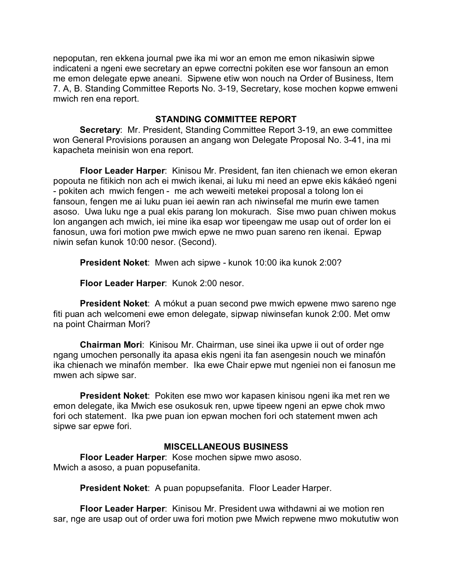nepoputan, ren ekkena journal pwe ika mi wor an emon me emon nikasiwin sipwe indicateni a ngeni ewe secretary an epwe correctni pokiten ese wor fansoun an emon me emon delegate epwe aneani. Sipwene etiw won nouch na Order of Business, Item 7. A, B. Standing Committee Reports No. 3-19, Secretary, kose mochen kopwe emweni mwich ren ena report.

## **STANDING COMMITTEE REPORT**

**Secretary**: Mr. President, Standing Committee Report 3-19, an ewe committee won General Provisions porausen an angang won Delegate Proposal No. 3-41, ina mi kapacheta meinisin won ena report.

**Floor Leader Harper**: Kinisou Mr. President, fan iten chienach we emon ekeran popouta ne fitikich non ach ei mwich ikenai, ai luku mi need an epwe ekis kákáeó ngeni - pokiten ach mwich fengen - me ach weweiti metekei proposal a tolong lon ei fansoun, fengen me ai luku puan iei aewin ran ach niwinsefal me murin ewe tamen asoso. Uwa luku nge a pual ekis parang lon mokurach. Sise mwo puan chiwen mokus lon angangen ach mwich, iei mine ika esap wor tipeengaw me usap out of order lon ei fanosun, uwa fori motion pwe mwich epwe ne mwo puan sareno ren ikenai. Epwap niwin sefan kunok 10:00 nesor. (Second).

**President Noket**: Mwen ach sipwe - kunok 10:00 ika kunok 2:00?

**Floor Leader Harper**: Kunok 2:00 nesor.

**President Noket**: A mókut a puan second pwe mwich epwene mwo sareno nge fiti puan ach welcomeni ewe emon delegate, sipwap niwinsefan kunok 2:00. Met omw na point Chairman Mori?

**Chairman Mori**: Kinisou Mr. Chairman, use sinei ika upwe ii out of order nge ngang umochen personally ita apasa ekis ngeni ita fan asengesin nouch we minafón ika chienach we minafón member. Ika ewe Chair epwe mut ngeniei non ei fanosun me mwen ach sipwe sar.

**President Noket**: Pokiten ese mwo wor kapasen kinisou ngeni ika met ren we emon delegate, ika Mwich ese osukosuk ren, upwe tipeew ngeni an epwe chok mwo fori och statement. Ika pwe puan ion epwan mochen fori och statement mwen ach sipwe sar epwe fori.

# **MISCELLANEOUS BUSINESS**

**Floor Leader Harper**: Kose mochen sipwe mwo asoso. Mwich a asoso, a puan popusefanita.

**President Noket**: A puan popupsefanita. Floor Leader Harper.

**Floor Leader Harper**: Kinisou Mr. President uwa withdawni ai we motion ren sar, nge are usap out of order uwa fori motion pwe Mwich repwene mwo mokututiw won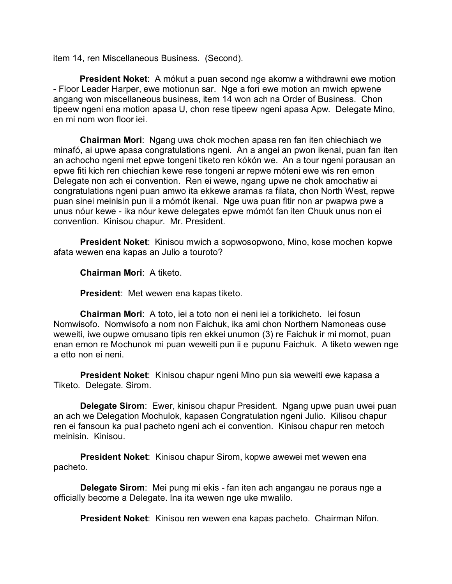item 14, ren Miscellaneous Business. (Second).

**President Noket**: A mókut a puan second nge akomw a withdrawni ewe motion - Floor Leader Harper, ewe motionun sar. Nge a fori ewe motion an mwich epwene angang won miscellaneous business, item 14 won ach na Order of Business. Chon tipeew ngeni ena motion apasa U, chon rese tipeew ngeni apasa Apw. Delegate Mino, en mi nom won floor iei.

**Chairman Mori**: Ngang uwa chok mochen apasa ren fan iten chiechiach we minafó, ai upwe apasa congratulations ngeni. An a angei an pwon ikenai, puan fan iten an achocho ngeni met epwe tongeni tiketo ren kókón we. An a tour ngeni porausan an epwe fiti kich ren chiechian kewe rese tongeni ar repwe móteni ewe wis ren emon Delegate non ach ei convention. Ren ei wewe, ngang upwe ne chok amochatiw ai congratulations ngeni puan amwo ita ekkewe aramas ra filata, chon North West, repwe puan sinei meinisin pun ii a mómót ikenai. Nge uwa puan fitir non ar pwapwa pwe a unus nóur kewe - ika nóur kewe delegates epwe mómót fan iten Chuuk unus non ei convention. Kinisou chapur. Mr. President.

**President Noket**: Kinisou mwich a sopwosopwono, Mino, kose mochen kopwe afata wewen ena kapas an Julio a touroto?

**Chairman Mori**: A tiketo.

**President**: Met wewen ena kapas tiketo.

**Chairman Mori**: A toto, iei a toto non ei neni iei a torikicheto. Iei fosun Nomwisofo. Nomwisofo a nom non Faichuk, ika ami chon Northern Namoneas ouse weweiti, iwe oupwe omusano tipis ren ekkei unumon (3) re Faichuk ir mi momot, puan enan emon re Mochunok mi puan weweiti pun ii e pupunu Faichuk. A tiketo wewen nge a etto non ei neni.

**President Noket**: Kinisou chapur ngeni Mino pun sia weweiti ewe kapasa a Tiketo. Delegate. Sirom.

**Delegate Sirom**: Ewer, kinisou chapur President. Ngang upwe puan uwei puan an ach we Delegation Mochulok, kapasen Congratulation ngeni Julio. Kilisou chapur ren ei fansoun ka pual pacheto ngeni ach ei convention. Kinisou chapur ren metoch meinisin. Kinisou.

**President Noket**: Kinisou chapur Sirom, kopwe awewei met wewen ena pacheto.

**Delegate Sirom**: Mei pung mi ekis - fan iten ach angangau ne poraus nge a officially become a Delegate. Ina ita wewen nge uke mwalilo.

**President Noket**: Kinisou ren wewen ena kapas pacheto. Chairman Nifon.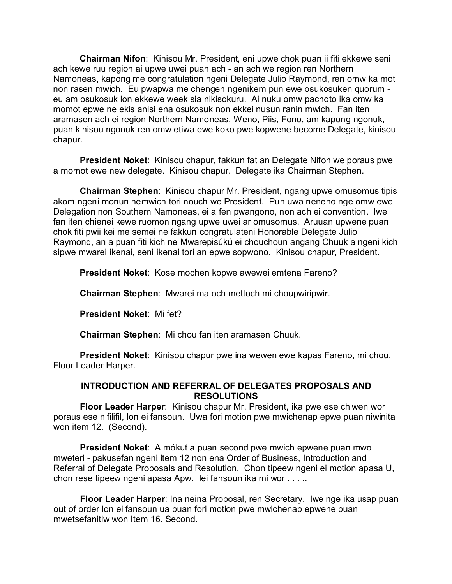**Chairman Nifon**: Kinisou Mr. President, eni upwe chok puan ii fiti ekkewe seni ach kewe ruu region ai upwe uwei puan ach - an ach we region ren Northern Namoneas, kapong me congratulation ngeni Delegate Julio Raymond, ren omw ka mot non rasen mwich. Eu pwapwa me chengen ngenikem pun ewe osukosuken quorum eu am osukosuk lon ekkewe week sia nikisokuru. Ai nuku omw pachoto ika omw ka momot epwe ne ekis anisi ena osukosuk non ekkei nusun ranin mwich. Fan iten aramasen ach ei region Northern Namoneas, Weno, Piis, Fono, am kapong ngonuk, puan kinisou ngonuk ren omw etiwa ewe koko pwe kopwene become Delegate, kinisou chapur.

**President Noket**: Kinisou chapur, fakkun fat an Delegate Nifon we poraus pwe a momot ewe new delegate. Kinisou chapur. Delegate ika Chairman Stephen.

**Chairman Stephen**: Kinisou chapur Mr. President, ngang upwe omusomus tipis akom ngeni monun nemwich tori nouch we President. Pun uwa neneno nge omw ewe Delegation non Southern Namoneas, ei a fen pwangono, non ach ei convention. Iwe fan iten chienei kewe ruomon ngang upwe uwei ar omusomus. Aruuan upwene puan chok fiti pwii kei me semei ne fakkun congratulateni Honorable Delegate Julio Raymond, an a puan fiti kich ne Mwarepisúkú ei chouchoun angang Chuuk a ngeni kich sipwe mwarei ikenai, seni ikenai tori an epwe sopwono. Kinisou chapur, President.

**President Noket**: Kose mochen kopwe awewei emtena Fareno?

**Chairman Stephen**: Mwarei ma och mettoch mi choupwiripwir.

**President Noket**: Mi fet?

**Chairman Stephen**: Mi chou fan iten aramasen Chuuk.

**President Noket**: Kinisou chapur pwe ina wewen ewe kapas Fareno, mi chou. Floor Leader Harper.

## **INTRODUCTION AND REFERRAL OF DELEGATES PROPOSALS AND RESOLUTIONS**

**Floor Leader Harper**: Kinisou chapur Mr. President, ika pwe ese chiwen wor poraus ese nifilifil, lon ei fansoun. Uwa fori motion pwe mwichenap epwe puan niwinita won item 12. (Second).

**President Noket**: A mókut a puan second pwe mwich epwene puan mwo mweteri - pakusefan ngeni item 12 non ena Order of Business, Introduction and Referral of Delegate Proposals and Resolution. Chon tipeew ngeni ei motion apasa U, chon rese tipeew ngeni apasa Apw. Iei fansoun ika mi wor . . . ..

**Floor Leader Harper**: Ina neina Proposal, ren Secretary. Iwe nge ika usap puan out of order lon ei fansoun ua puan fori motion pwe mwichenap epwene puan mwetsefanitiw won Item 16. Second.